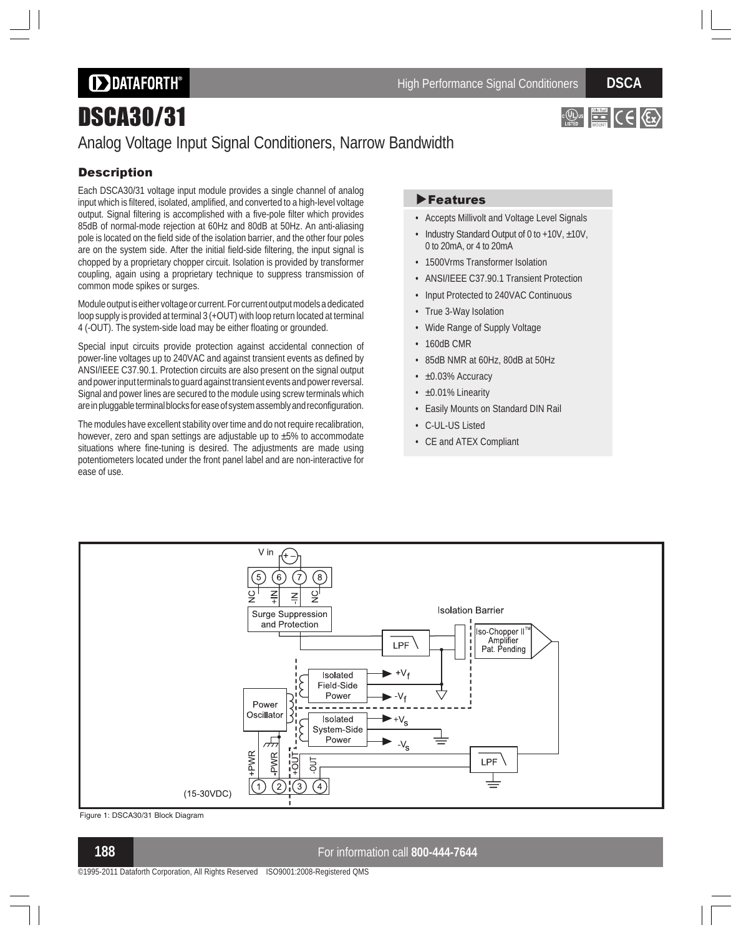**DDATAFORTH®** 

# DSCA30/31



## Analog Voltage Input Signal Conditioners, Narrow Bandwidth

### **Description**

Each DSCA30/31 voltage input module provides a single channel of analog input which is filtered, isolated, amplified, and converted to a high-level voltage output. Signal filtering is accomplished with a five-pole filter which provides 85dB of normal-mode rejection at 60Hz and 80dB at 50Hz. An anti-aliasing pole is located on the field side of the isolation barrier, and the other four poles are on the system side. After the initial field-side filtering, the input signal is chopped by a proprietary chopper circuit. Isolation is provided by transformer coupling, again using a proprietary technique to suppress transmission of common mode spikes or surges.

Module output is either voltage or current. For current output models a dedicated loop supply is provided at terminal 3 (+OUT) with loop return located at terminal 4 (-OUT). The system-side load may be either floating or grounded.

Special input circuits provide protection against accidental connection of power-line voltages up to 240VAC and against transient events as defined by ANSI/IEEE C37.90.1. Protection circuits are also present on the signal output and power input terminals to guard against transient events and power reversal. Signal and power lines are secured to the module using screw terminals which are in pluggable terminal blocks for ease of system assembly and reconfiguration.

The modules have excellent stability over time and do not require recalibration, however, zero and span settings are adjustable up to ±5% to accommodate situations where fine-tuning is desired. The adjustments are made using potentiometers located under the front panel label and are non-interactive for ease of use.

### **Features**

- Accepts Millivolt and Voltage Level Signals
- Industry Standard Output of 0 to +10V, ±10V, 0 to 20mA, or 4 to 20mA
- 1500Vrms Transformer Isolation
- ANSI/IEEE C37.90.1 Transient Protection
- Input Protected to 240VAC Continuous
- True 3-Way Isolation
- Wide Range of Supply Voltage
- 160dB CMR
- 85dB NMR at 60Hz, 80dB at 50Hz
- ±0.03% Accuracy
- ±0.01% Linearity
- Easily Mounts on Standard DIN Rail
- C-UL-US Listed
- CE and ATEX Compliant



Figure 1: DSCA30/31 Block Diagram

**188** For information call **800-444-7644**

©1995-2011 Dataforth Corporation, All Rights Reserved ISO9001:2008-Registered QMS